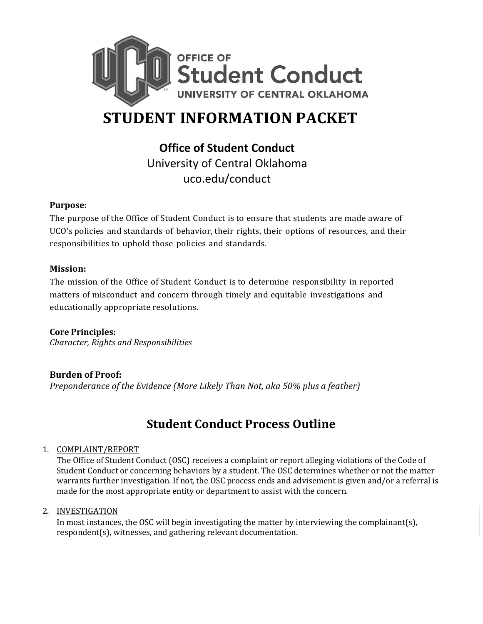

# **STUDENT INFORMATION PACKET**

**Office of Student Conduct** University of Central Oklahoma uco.edu/conduct

## **Purpose:**

The purpose of the Office of Student Conduct is to ensure that students are made aware of UCO's policies and standards of behavior, their rights, their options of resources, and their responsibilities to uphold those policies and standards.

## **Mission:**

The mission of the Office of Student Conduct is to determine responsibility in reported matters of misconduct and concern through timely and equitable investigations and educationally appropriate resolutions.

## **Core Principles:**

*Character, Rights and Responsibilities*

## **Burden of Proof:**

*Preponderance of the Evidence (More Likely Than Not, aka 50% plus a feather)*

# **Student Conduct Process Outline**

### 1. COMPLAINT/REPORT

The Office of Student Conduct (OSC) receives a complaint or report alleging violations of the Code of Student Conduct or concerning behaviors by a student. The OSC determines whether or not the matter warrants further investigation. If not, the OSC process ends and advisement is given and/or a referral is made for the most appropriate entity or department to assist with the concern.

### 2. INVESTIGATION

In most instances, the OSC will begin investigating the matter by interviewing the complainant(s), respondent(s), witnesses, and gathering relevant documentation.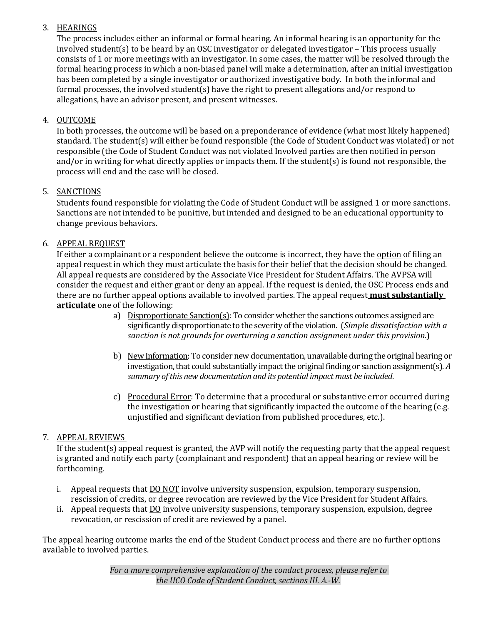## 3. HEARINGS

The process includes either an informal or formal hearing. An informal hearing is an opportunity for the involved student(s) to be heard by an OSC investigator or delegated investigator – This process usually consists of 1 or more meetings with an investigator. In some cases, the matter will be resolved through the formal hearing process in which a non-biased panel will make a determination, after an initial investigation has been completed by a single investigator or authorized investigative body. In both the informal and formal processes, the involved student(s) have the right to present allegations and/or respond to allegations, have an advisor present, and present witnesses.

## 4. OUTCOME

In both processes, the outcome will be based on a preponderance of evidence (what most likely happened) standard. The student(s) will either be found responsible (the Code of Student Conduct was violated) or not responsible (the Code of Student Conduct was not violated Involved parties are then notified in person and/or in writing for what directly applies or impacts them. If the student(s) is found not responsible, the process will end and the case will be closed.

## 5. SANCTIONS

Students found responsible for violating the Code of Student Conduct will be assigned 1 or more sanctions. Sanctions are not intended to be punitive, but intended and designed to be an educational opportunity to change previous behaviors.

## 6. APPEAL REQUEST

If either a complainant or a respondent believe the outcome is incorrect, they have the option of filing an appeal request in which they must articulate the basis for their belief that the decision should be changed. All appeal requests are considered by the Associate Vice President for Student Affairs. The AVPSA will consider the request and either grant or deny an appeal. If the request is denied, the OSC Process ends and there are no further appeal options available to involved parties. The appeal request **must substantially articulate** one of the following:

- a) Disproportionate Sanction(s): To consider whether the sanctions outcomes assigned are significantly disproportionate to the severity of the violation. (*Simple dissatisfaction with a sanction is not grounds for overturning a sanction assignment under this provision.*)
- b) New Information: To consider new documentation, unavailable during the original hearing or investigation, that could substantially impact the original finding or sanction assignment(s). *A summary of this new documentation and its potential impact must be included*.
- c) Procedural Error: To determine that a procedural or substantive error occurred during the investigation or hearing that significantly impacted the outcome of the hearing (e.g. unjustified and significant deviation from published procedures, etc.).

## 7. APPEAL REVIEWS

If the student(s) appeal request is granted, the AVP will notify the requesting party that the appeal request is granted and notify each party (complainant and respondent) that an appeal hearing or review will be forthcoming.

- i. Appeal requests that DO NOT involve university suspension, expulsion, temporary suspension, rescission of credits, or degree revocation are reviewed by the Vice President for Student Affairs.
- ii. Appeal requests that  $\underline{D0}$  involve university suspensions, temporary suspension, expulsion, degree revocation, or rescission of credit are reviewed by a panel.

The appeal hearing outcome marks the end of the Student Conduct process and there are no further options available to involved parties.

> *For a more comprehensive explanation of the conduct process, please refer to the UCO Code of Student Conduct, sections III. A.-W.*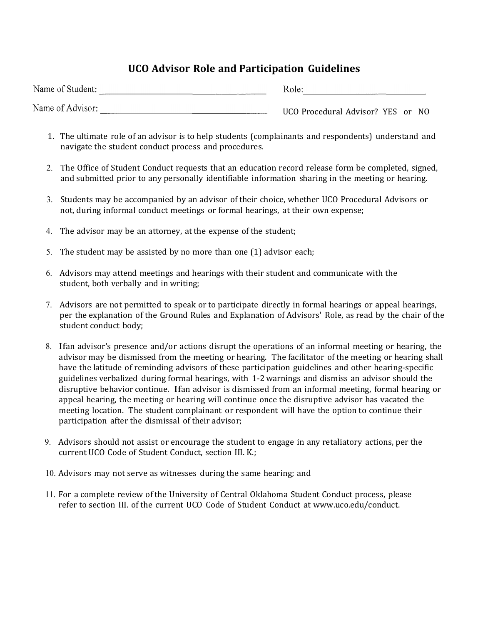## **UCO Advisor Role and Participation Guidelines**

| Name of Student: |  | Role:                             |  |  |
|------------------|--|-----------------------------------|--|--|
| Name of Advisor: |  | UCO Procedural Advisor? YES or NO |  |  |

- 1. The ultimate role of an advisor is to help students (complainants and respondents) understand and navigate the student conduct process and procedures.
- 2. The Office of Student Conduct requests that an education record release form be completed, signed, and submitted prior to any personally identifiable information sharing in the meeting or hearing.
- 3. Students may be accompanied by an advisor of their choice, whether UCO Procedural Advisors or not, during informal conduct meetings or formal hearings, at their own expense;
- 4. The advisor may be an attorney, at the expense of the student;
- 5. The student may be assisted by no more than one (1) advisor each;
- 6. Advisors may attend meetings and hearings with their student and communicate with the student, both verbally and in writing;
- 7. Advisors are not permitted to speak or to participate directly in formal hearings or appeal hearings, per the explanation of the Ground Rules and Explanation of Advisors' Role, as read by the chair of the student conduct body;
- 8. Ifan advisor's presence and/or actions disrupt the operations of an informal meeting or hearing, the advisor may be dismissed from the meeting or hearing. The facilitator of the meeting or hearing shall have the latitude of reminding advisors of these participation guidelines and other hearing-specific guidelines verbalized during formal hearings, with 1-2warnings and dismiss an advisor should the disruptive behavior continue. Ifan advisor is dismissed from an informal meeting, formal hearing or appeal hearing, the meeting or hearing will continue once the disruptive advisor has vacated the meeting location. The student complainant or respondent will have the option to continue their participation after the dismissal of their advisor;
- 9. Advisors should not assist or encourage the student to engage in any retaliatory actions, per the current UCO Code of Student Conduct, section III. K.;
- 10. Advisors may not serve as witnesses during the same hearing; and
- 11. For a complete review of the University of Central Oklahoma Student Conduct process, please refer to section III. of the current UCO Code of Student Conduct at [www.uco.edu/conduct.](http://www.uco.edu/conduct)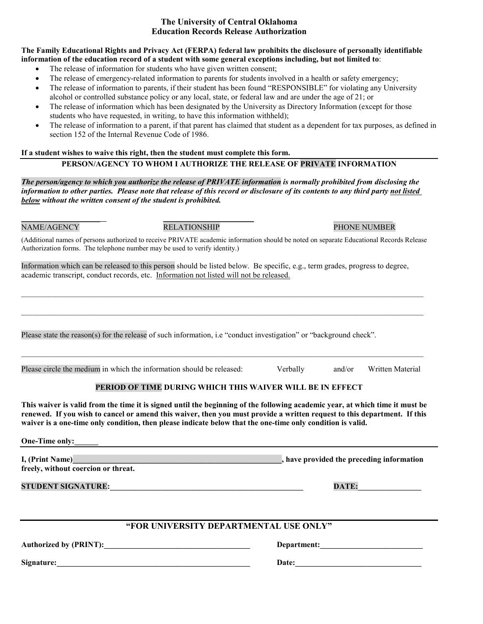#### **The University of Central Oklahoma Education Records Release Authorization**

#### **The Family Educational Rights and Privacy Act (FERPA) federal law prohibits the disclosure of personally identifiable information of the education record of a student with some general exceptions including, but not limited to**:

- The release of information for students who have given written consent;
- The release of emergency-related information to parents for students involved in a health or safety emergency;
- The release of information to parents, if their student has been found "RESPONSIBLE" for violating any University alcohol or controlled substance policy or any local, state, or federal law and are under the age of 21; or
- The release of information which has been designated by the University as Directory Information (except for those students who have requested, in writing, to have this information withheld);
- The release of information to a parent, if that parent has claimed that student as a dependent for tax purposes, as defined in section 152 of the Internal Revenue Code of 1986.

#### **If a student wishes to waive this right, then the student must complete this form. PERSON/AGENCY TO WHOM I AUTHORIZE THE RELEASE OF PRIVATE INFORMATION**

*The person/agency to which you authorize the release of PRIVATE information is normally prohibited from disclosing the information to other parties. Please note that release of this record or disclosure of its contents to any third party not listed below without the written consent of the student is prohibited.* 

\_\_\_\_\_\_\_\_\_\_\_\_\_\_\_\_\_\_\_\_ \_\_\_\_\_\_\_\_\_\_\_\_\_\_\_\_\_\_\_\_\_\_\_ \_\_\_\_\_\_\_\_\_\_\_\_\_\_\_ NAME/AGENCY RELATIONSHIP PHONE NUMBER

(Additional names of persons authorized to receive PRIVATE academic information should be noted on separate Educational Records Release Authorization forms. The telephone number may be used to verify identity.)

Information which can be released to this person should be listed below. Be specific, e.g., term grades, progress to degree, academic transcript, conduct records, etc. Information not listed will not be released.

 $\mathcal{L}_\mathcal{L} = \{ \mathcal{L}_\mathcal{L} = \{ \mathcal{L}_\mathcal{L} = \{ \mathcal{L}_\mathcal{L} = \{ \mathcal{L}_\mathcal{L} = \{ \mathcal{L}_\mathcal{L} = \{ \mathcal{L}_\mathcal{L} = \{ \mathcal{L}_\mathcal{L} = \{ \mathcal{L}_\mathcal{L} = \{ \mathcal{L}_\mathcal{L} = \{ \mathcal{L}_\mathcal{L} = \{ \mathcal{L}_\mathcal{L} = \{ \mathcal{L}_\mathcal{L} = \{ \mathcal{L}_\mathcal{L} = \{ \mathcal{L}_\mathcal{$ 

 $\mathcal{L}_\mathcal{L} = \{ \mathcal{L}_\mathcal{L} = \{ \mathcal{L}_\mathcal{L} = \{ \mathcal{L}_\mathcal{L} = \{ \mathcal{L}_\mathcal{L} = \{ \mathcal{L}_\mathcal{L} = \{ \mathcal{L}_\mathcal{L} = \{ \mathcal{L}_\mathcal{L} = \{ \mathcal{L}_\mathcal{L} = \{ \mathcal{L}_\mathcal{L} = \{ \mathcal{L}_\mathcal{L} = \{ \mathcal{L}_\mathcal{L} = \{ \mathcal{L}_\mathcal{L} = \{ \mathcal{L}_\mathcal{L} = \{ \mathcal{L}_\mathcal{$ 

 $\mathcal{L}_\mathcal{L} = \mathcal{L}_\mathcal{L} = \mathcal{L}_\mathcal{L} = \mathcal{L}_\mathcal{L} = \mathcal{L}_\mathcal{L} = \mathcal{L}_\mathcal{L} = \mathcal{L}_\mathcal{L} = \mathcal{L}_\mathcal{L} = \mathcal{L}_\mathcal{L} = \mathcal{L}_\mathcal{L} = \mathcal{L}_\mathcal{L} = \mathcal{L}_\mathcal{L} = \mathcal{L}_\mathcal{L} = \mathcal{L}_\mathcal{L} = \mathcal{L}_\mathcal{L} = \mathcal{L}_\mathcal{L} = \mathcal{L}_\mathcal{L}$ 

Please state the reason(s) for the release of such information, i.e "conduct investigation" or "background check".

Please circle the medium in which the information should be released: Verbally and/or Written Material

### **PERIOD OF TIME DURING WHICH THIS WAIVER WILL BE IN EFFECT**

**This waiver is valid from the time it is signed until the beginning of the following academic year, at which time it must be renewed. If you wish to cancel or amend this waiver, then you must provide a written request to this department. If this waiver is a one-time only condition, then please indicate below that the one-time only condition is valid.**

**One-Time only:** 

**I, (Print Name) I, increase the provided the preceding information freely, without coercion or threat.**

**STUDENT SIGNATURE:**  $\blacksquare$ 

## **"FOR UNIVERSITY DEPARTMENTAL USE ONLY"**

**Authorized by (PRINT):\_\_\_\_\_\_\_\_\_\_\_\_\_\_\_\_\_\_\_\_\_\_\_\_\_\_\_\_\_\_\_\_\_\_\_\_\_ Department:\_\_\_\_\_\_\_\_\_\_\_\_\_\_\_\_\_\_\_\_\_\_\_\_\_\_**

**Signature:** the contract of the contract of the contract of the contract of the contract of the contract of the contract of the contract of the contract of the contract of the contract of the contract of the contract of t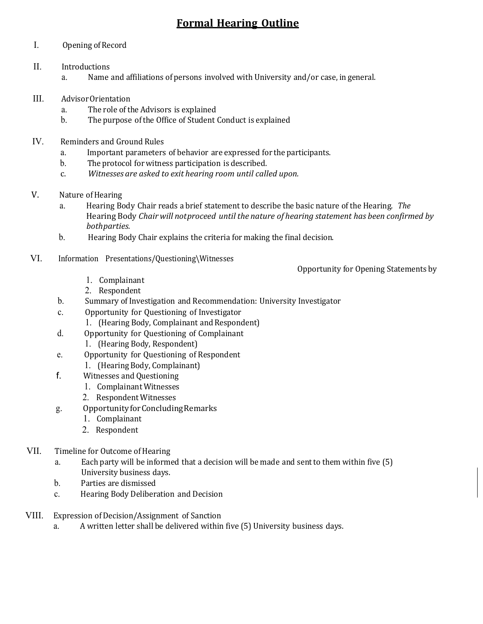# **Formal Hearing Outline**

### I. Opening of Record

- II. Introductions a. Name and affiliations of persons involved with University and/or case, in general.
- III. Advisor Orientation<br>a. The role of the
	- a. The role of the Advisors is explained<br>b. The purpose of the Office of Student (
	- The purpose of the Office of Student Conduct is explained
- IV. Reminders and Ground Rules
	- a. Important parameters of behavior are expressed for the participants.<br>b. The protocol for witness participation is described.
	- b. The protocol for witness participation is described.<br>c. Witnesses are asked to exit hearing room until call
	- c. *Witnesses are asked to exit hearing room until called upon.*
- V. Nature of Hearing<br>a. Hearing Bo
	- a. Hearing Body Chair reads a brief statement to describe the basic nature of the Hearing. *The* Hearing Body *Chair will notproceed until the nature of hearing statement has been confirmed by bothparties.*
	- b. Hearing Body Chair explains the criteria for making the final decision.
- VI. Information Presentations/Questioning\Witnesses

Opportunity for Opening Statements by

- 1. Complainant
- 2. Respondent
- b. Summary of Investigation and Recommendation: University Investigator
- c. Opportunity for Questioning of Investigator
- 1. (Hearing Body, Complainant and Respondent)
- d. Opportunity for Questioning of Complainant
	- 1. (Hearing Body, Respondent)
- e. Opportunity for Questioning of Respondent
	- 1. (Hearing Body, Complainant)
- f. Witnesses and Questioning
	- 1. Complainant Witnesses
	- 2. Respondent Witnesses
- g. OpportunityforConcludingRemarks
	- 1. Complainant
	- 2. Respondent
- VII. Timeline for Outcome of Hearing
	- a. Each party will be informed that a decision will be made and sentto them within five (5) University business days.
	- b. Parties are dismissed
	- c. Hearing Body Deliberation and Decision
- VIII. Expression of Decision/Assignment of Sanction
	- a. A written letter shall be delivered within five (5) University business days.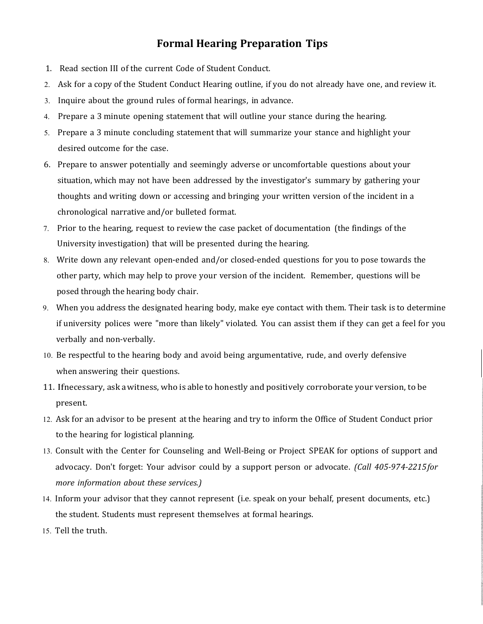## **Formal Hearing Preparation Tips**

- 1. Read section III of the current Code of Student Conduct.
- 2. Ask for a copy of the Student Conduct Hearing outline, if you do not already have one, and review it.
- 3. Inquire about the ground rules of formal hearings, in advance.
- 4. Prepare a 3 minute opening statement that will outline your stance during the hearing.
- 5. Prepare a 3 minute concluding statement that will summarize your stance and highlight your desired outcome for the case.
- 6. Prepare to answer potentially and seemingly adverse or uncomfortable questions about your situation, which may not have been addressed by the investigator's summary by gathering your thoughts and writing down or accessing and bringing your written version of the incident in a chronological narrative and/or bulleted format.
- 7. Prior to the hearing, request to review the case packet of documentation (the findings of the University investigation) that will be presented during the hearing.
- 8. Write down any relevant open-ended and/or closed-ended questions for you to pose towards the other party, which may help to prove your version of the incident. Remember, questions will be posed through the hearing body chair.
- 9. When you address the designated hearing body, make eye contact with them. Their task is to determine if university polices were "more than likely" violated. You can assist them if they can get a feel for you verbally and non-verbally.
- 10. Be respectful to the hearing body and avoid being argumentative, rude, and overly defensive when answering their questions.
- 11. Ifnecessary, ask awitness, who is able to honestly and positively corroborate your version, to be present.
- 12. Ask for an advisor to be present at the hearing and try to inform the Office of Student Conduct prior to the hearing for logistical planning.
- 13. Consult with the Center for Counseling and Well-Being or Project SPEAK for options of support and advocacy. Don't forget: Your advisor could by a support person or advocate. *(Call 405-974-2215for more information about these services.)*
- 14. Inform your advisor that they cannot represent (i.e. speak on your behalf, present documents, etc.) the student. Students must represent themselves at formal hearings.
- 15. Tell the truth.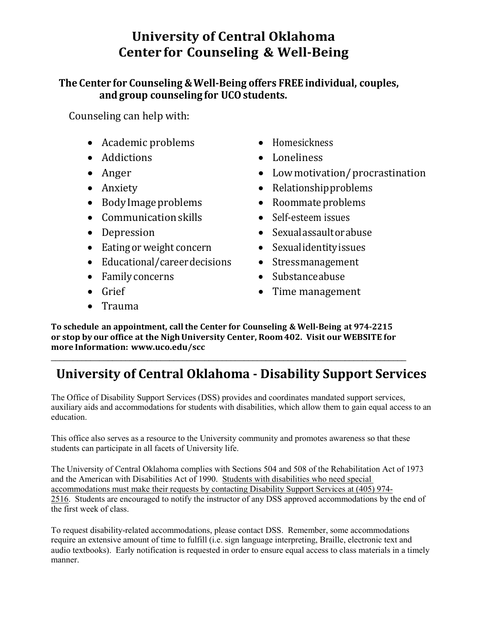# **University of Central Oklahoma Center for Counseling & Well-Being**

## **The Center for Counseling &Well-Being offers FREE individual, couples, and group counseling for UCOstudents.**

Counseling can help with:

- Academic problems Homesickness
- Addictions Loneliness
- Anger Lowmotivation/procrastination
- 
- Body Image problems Roommate problems
- Communication skills Self-esteem issues
- 
- Eating or weight concern Sexual identity issues
- Educational/careerdecisions Stressmanagement
- Family concerns Substance abuse
- 
- Anxiety Relationship problems
	-
	-
- Depression Sexualassaultorabuse
	-
	-
	-
- Grief Grief Time management
- Trauma

**To schedule an appointment, callthe Center for Counseling & Well-Being at 974-2215 or stop by our office at the NighUniversity Center, Room402. Visit our WEBSITE for more Information: www.uco.edu/scc**

\_\_\_\_\_\_\_\_\_\_\_\_\_\_\_\_\_\_\_\_\_\_\_\_\_\_\_\_\_\_\_\_\_\_\_\_\_\_\_\_\_\_\_\_\_\_\_\_\_\_\_\_\_\_\_\_\_\_\_\_\_\_\_\_\_\_\_\_\_\_\_\_\_\_\_\_\_\_\_\_\_

# **University of Central Oklahoma - Disability Support Services**

The Office of Disability Support Services (DSS) provides and coordinates mandated support services, auxiliary aids and accommodations for students with disabilities, which allow them to gain equal access to an education.

This office also serves as a resource to the University community and promotes awareness so that these students can participate in all facets of University life.

The University of Central Oklahoma complies with Sections 504 and 508 of the Rehabilitation Act of 1973 and the American with Disabilities Act of 1990. Students with disabilities who need special accommodations must make their requests by contacting Disability Support Services at (405) 974- 2516. Students are encouraged to notify the instructor of any DSS approved accommodations by the end of the first week of class.

To request disability-related accommodations, please contact DSS. Remember, some accommodations require an extensive amount of time to fulfill (i.e. sign language interpreting, Braille, electronic text and audio textbooks). Early notification is requested in order to ensure equal access to class materials in a timely manner.